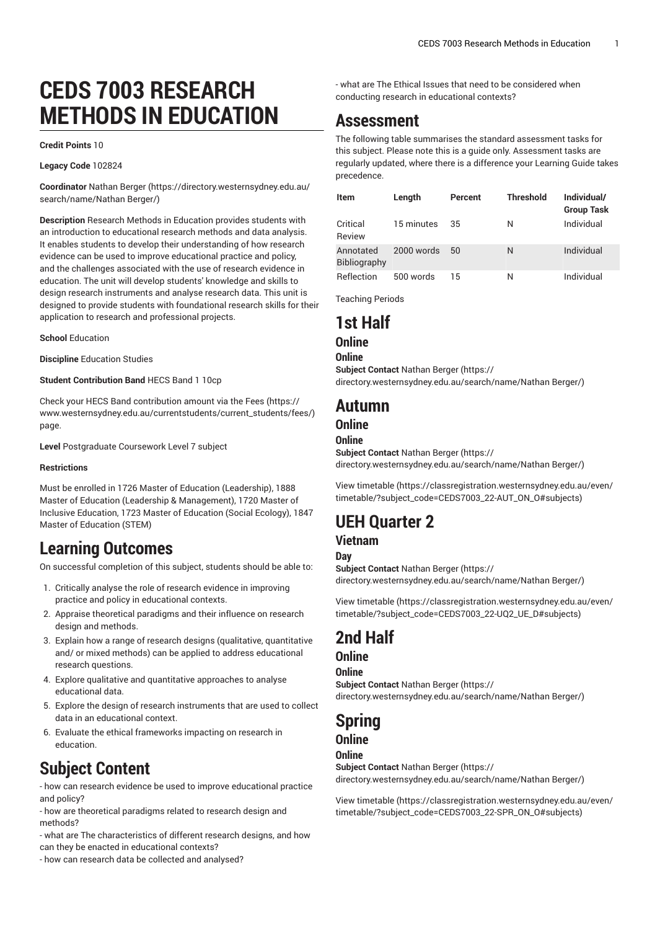# **CEDS 7003 RESEARCH METHODS IN EDUCATION**

#### **Credit Points** 10

#### **Legacy Code** 102824

**Coordinator** [Nathan](https://directory.westernsydney.edu.au/search/name/Nathan Berger/) Berger ([https://directory.westernsydney.edu.au/](https://directory.westernsydney.edu.au/search/name/Nathan Berger/) [search/name/Nathan](https://directory.westernsydney.edu.au/search/name/Nathan Berger/) Berger/)

**Description** Research Methods in Education provides students with an introduction to educational research methods and data analysis. It enables students to develop their understanding of how research evidence can be used to improve educational practice and policy, and the challenges associated with the use of research evidence in education. The unit will develop students' knowledge and skills to design research instruments and analyse research data. This unit is designed to provide students with foundational research skills for their application to research and professional projects.

**School** Education

**Discipline** Education Studies

**Student Contribution Band** HECS Band 1 10cp

Check your HECS Band contribution amount via the [Fees \(https://](https://www.westernsydney.edu.au/currentstudents/current_students/fees/) [www.westernsydney.edu.au/currentstudents/current\\_students/fees/\)](https://www.westernsydney.edu.au/currentstudents/current_students/fees/) page.

**Level** Postgraduate Coursework Level 7 subject

#### **Restrictions**

Must be enrolled in 1726 Master of Education (Leadership), 1888 Master of Education (Leadership & Management), 1720 Master of Inclusive Education, 1723 Master of Education (Social Ecology), 1847 Master of Education (STEM)

### **Learning Outcomes**

On successful completion of this subject, students should be able to:

- 1. Critically analyse the role of research evidence in improving practice and policy in educational contexts.
- 2. Appraise theoretical paradigms and their influence on research design and methods.
- 3. Explain how a range of research designs (qualitative, quantitative and/ or mixed methods) can be applied to address educational research questions.
- 4. Explore qualitative and quantitative approaches to analyse educational data.
- 5. Explore the design of research instruments that are used to collect data in an educational context.
- 6. Evaluate the ethical frameworks impacting on research in education.

## **Subject Content**

- how can research evidence be used to improve educational practice and policy?

- how are theoretical paradigms related to research design and methods?

- what are The characteristics of different research designs, and how can they be enacted in educational contexts?

- how can research data be collected and analysed?

- what are The Ethical Issues that need to be considered when conducting research in educational contexts?

### **Assessment**

The following table summarises the standard assessment tasks for this subject. Please note this is a guide only. Assessment tasks are regularly updated, where there is a difference your Learning Guide takes precedence.

| ltem                      | Length     | Percent | <b>Threshold</b> | Individual/<br><b>Group Task</b> |
|---------------------------|------------|---------|------------------|----------------------------------|
| Critical<br>Review        | 15 minutes | 35      | N                | Individual                       |
| Annotated<br>Bibliography | 2000 words | 50      | N                | Individual                       |
| Reflection                | 500 words  | 15      | N                | Individual                       |

Teaching Periods

### **1st Half**

### **Online**

**Online Subject Contact** [Nathan](https://directory.westernsydney.edu.au/search/name/Nathan Berger/) Berger [\(https://](https://directory.westernsydney.edu.au/search/name/Nathan Berger/) [directory.westernsydney.edu.au/search/name/Nathan](https://directory.westernsydney.edu.au/search/name/Nathan Berger/) Berger/)

### **Autumn**

### **Online**

#### **Online**

**Subject Contact** [Nathan](https://directory.westernsydney.edu.au/search/name/Nathan Berger/) Berger [\(https://](https://directory.westernsydney.edu.au/search/name/Nathan Berger/) [directory.westernsydney.edu.au/search/name/Nathan](https://directory.westernsydney.edu.au/search/name/Nathan Berger/) Berger/)

[View timetable](https://classregistration.westernsydney.edu.au/even/timetable/?subject_code=CEDS7003_22-AUT_ON_O#subjects) [\(https://classregistration.westernsydney.edu.au/even/](https://classregistration.westernsydney.edu.au/even/timetable/?subject_code=CEDS7003_22-AUT_ON_O#subjects) [timetable/?subject\\_code=CEDS7003\\_22-AUT\\_ON\\_O#subjects](https://classregistration.westernsydney.edu.au/even/timetable/?subject_code=CEDS7003_22-AUT_ON_O#subjects))

## **UEH Quarter 2**

#### **Vietnam**

**Day**

**Subject Contact** [Nathan](https://directory.westernsydney.edu.au/search/name/Nathan Berger/) Berger [\(https://](https://directory.westernsydney.edu.au/search/name/Nathan Berger/) [directory.westernsydney.edu.au/search/name/Nathan](https://directory.westernsydney.edu.au/search/name/Nathan Berger/) Berger/)

[View timetable](https://classregistration.westernsydney.edu.au/even/timetable/?subject_code=CEDS7003_22-UQ2_UE_D#subjects) [\(https://classregistration.westernsydney.edu.au/even/](https://classregistration.westernsydney.edu.au/even/timetable/?subject_code=CEDS7003_22-UQ2_UE_D#subjects) [timetable/?subject\\_code=CEDS7003\\_22-UQ2\\_UE\\_D#subjects\)](https://classregistration.westernsydney.edu.au/even/timetable/?subject_code=CEDS7003_22-UQ2_UE_D#subjects)

## **2nd Half**

### **Online**

**Online Subject Contact** [Nathan](https://directory.westernsydney.edu.au/search/name/Nathan Berger/) Berger [\(https://](https://directory.westernsydney.edu.au/search/name/Nathan Berger/) [directory.westernsydney.edu.au/search/name/Nathan](https://directory.westernsydney.edu.au/search/name/Nathan Berger/) Berger/)

## **Spring**

#### **Online Online**

**Subject Contact** [Nathan](https://directory.westernsydney.edu.au/search/name/Nathan Berger/) Berger [\(https://](https://directory.westernsydney.edu.au/search/name/Nathan Berger/) [directory.westernsydney.edu.au/search/name/Nathan](https://directory.westernsydney.edu.au/search/name/Nathan Berger/) Berger/)

[View timetable](https://classregistration.westernsydney.edu.au/even/timetable/?subject_code=CEDS7003_22-SPR_ON_O#subjects) [\(https://classregistration.westernsydney.edu.au/even/](https://classregistration.westernsydney.edu.au/even/timetable/?subject_code=CEDS7003_22-SPR_ON_O#subjects) [timetable/?subject\\_code=CEDS7003\\_22-SPR\\_ON\\_O#subjects](https://classregistration.westernsydney.edu.au/even/timetable/?subject_code=CEDS7003_22-SPR_ON_O#subjects))